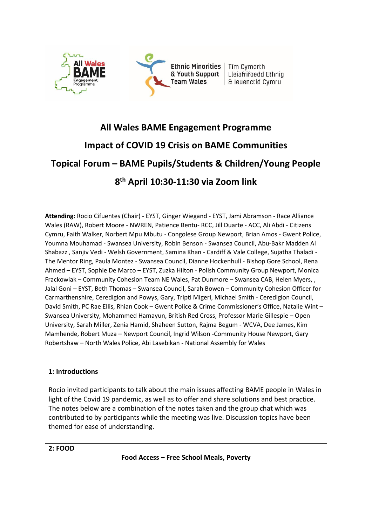

# **All Wales BAME Engagement Programme Impact of COVID 19 Crisis on BAME Communities Topical Forum – BAME Pupils/Students & Children/Young People 8 th April 10:30-11:30 via Zoom link**

**Attending:** Rocio Cifuentes (Chair) - EYST, Ginger Wiegand - EYST, Jami Abramson - Race Alliance Wales (RAW), Robert Moore - NWREN, Patience Bentu- RCC, Jill Duarte - ACC, Ali Abdi - Citizens Cymru, Faith Walker, Norbert Mpu Mbutu - Congolese Group Newport, Brian Amos - Gwent Police, Youmna Mouhamad - Swansea University, Robin Benson - Swansea Council, Abu-Bakr Madden Al Shabazz , Sanjiv Vedi - Welsh Government, Samina Khan - Cardiff & Vale College, Sujatha Thaladi - The Mentor Ring, Paula Montez - Swansea Council, Dianne Hockenhull - Bishop Gore School, Rena Ahmed – EYST, Sophie De Marco – EYST, Zuzka Hilton - Polish Community Group Newport, Monica Frackowiak – Community Cohesion Team NE Wales, Pat Dunmore – Swansea CAB, Helen Myers, , Jalal Goni – EYST, Beth Thomas – Swansea Council, Sarah Bowen – Community Cohesion Officer for Carmarthenshire, Ceredigion and Powys, Gary, Tripti Migeri, Michael Smith - Ceredigion Council, David Smith, PC Rae Ellis, Rhian Cook – Gwent Police & Crime Commissioner's Office, Natalie Wint – Swansea University, Mohammed Hamayun, British Red Cross, Professor Marie Gillespie – Open University, Sarah Miller, Zenia Hamid, Shaheen Sutton, Rajma Begum - WCVA, Dee James, Kim Mamhende, Robert Muza – Newport Council, Ingrid Wilson -Community House Newport, Gary Robertshaw – North Wales Police, Abi Lasebikan - National Assembly for Wales

#### **1: Introductions**

Rocio invited participants to talk about the main issues affecting BAME people in Wales in light of the Covid 19 pandemic, as well as to offer and share solutions and best practice. The notes below are a combination of the notes taken and the group chat which was contributed to by participants while the meeting was live. Discussion topics have been themed for ease of understanding.

**2: FOOD**

**Food Access – Free School Meals, Poverty**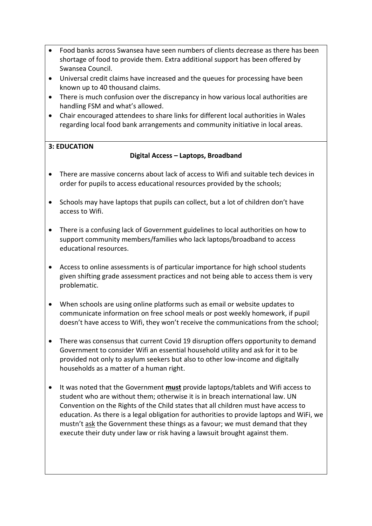- Food banks across Swansea have seen numbers of clients decrease as there has been shortage of food to provide them. Extra additional support has been offered by Swansea Council.
- Universal credit claims have increased and the queues for processing have been known up to 40 thousand claims.
- There is much confusion over the discrepancy in how various local authorities are handling FSM and what's allowed.
- Chair encouraged attendees to share links for different local authorities in Wales regarding local food bank arrangements and community initiative in local areas.

### **3: EDUCATION**

### **Digital Access – Laptops, Broadband**

- There are massive concerns about lack of access to Wifi and suitable tech devices in order for pupils to access educational resources provided by the schools;
- Schools may have laptops that pupils can collect, but a lot of children don't have access to Wifi.
- There is a confusing lack of Government guidelines to local authorities on how to support community members/families who lack laptops/broadband to access educational resources.
- Access to online assessments is of particular importance for high school students given shifting grade assessment practices and not being able to access them is very problematic.
- When schools are using online platforms such as email or website updates to communicate information on free school meals or post weekly homework, if pupil doesn't have access to Wifi, they won't receive the communications from the school;
- There was consensus that current Covid 19 disruption offers opportunity to demand Government to consider Wifi an essential household utility and ask for it to be provided not only to asylum seekers but also to other low-income and digitally households as a matter of a human right.
- It was noted that the Government **must** provide laptops/tablets and Wifi access to student who are without them; otherwise it is in breach international law. UN Convention on the Rights of the Child states that all children must have access to education. As there is a legal obligation for authorities to provide laptops and WiFi, we mustn't ask the Government these things as a favour; we must demand that they execute their duty under law or risk having a lawsuit brought against them.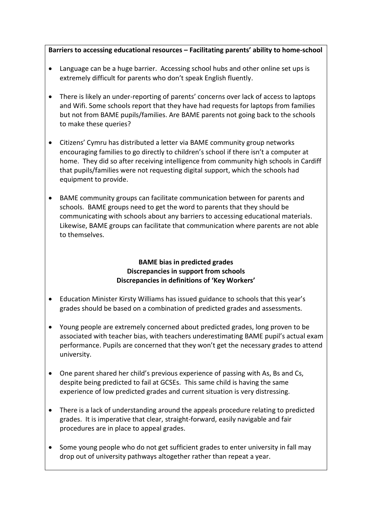**Barriers to accessing educational resources – Facilitating parents' ability to home-school**

- Language can be a huge barrier. Accessing school hubs and other online set ups is extremely difficult for parents who don't speak English fluently.
- There is likely an under-reporting of parents' concerns over lack of access to laptops and Wifi. Some schools report that they have had requests for laptops from families but not from BAME pupils/families. Are BAME parents not going back to the schools to make these queries?
- Citizens' Cymru has distributed a letter via BAME community group networks encouraging families to go directly to children's school if there isn't a computer at home. They did so after receiving intelligence from community high schools in Cardiff that pupils/families were not requesting digital support, which the schools had equipment to provide.
- BAME community groups can facilitate communication between for parents and schools. BAME groups need to get the word to parents that they should be communicating with schools about any barriers to accessing educational materials. Likewise, BAME groups can facilitate that communication where parents are not able to themselves.

## **BAME bias in predicted grades Discrepancies in support from schools Discrepancies in definitions of 'Key Workers'**

- Education Minister Kirsty Williams has issued guidance to schools that this year's grades should be based on a combination of predicted grades and assessments.
- Young people are extremely concerned about predicted grades, long proven to be associated with teacher bias, with teachers underestimating BAME pupil's actual exam performance. Pupils are concerned that they won't get the necessary grades to attend university.
- One parent shared her child's previous experience of passing with As, Bs and Cs, despite being predicted to fail at GCSEs. This same child is having the same experience of low predicted grades and current situation is very distressing.
- There is a lack of understanding around the appeals procedure relating to predicted grades. It is imperative that clear, straight-forward, easily navigable and fair procedures are in place to appeal grades.
- Some young people who do not get sufficient grades to enter university in fall may drop out of university pathways altogether rather than repeat a year.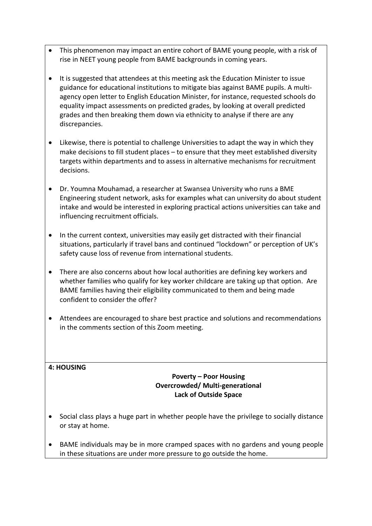- This phenomenon may impact an entire cohort of BAME young people, with a risk of rise in NEET young people from BAME backgrounds in coming years.
- It is suggested that attendees at this meeting ask the Education Minister to issue guidance for educational institutions to mitigate bias against BAME pupils. A multiagency open letter to English Education Minister, for instance, requested schools do equality impact assessments on predicted grades, by looking at overall predicted grades and then breaking them down via ethnicity to analyse if there are any discrepancies.
- Likewise, there is potential to challenge Universities to adapt the way in which they make decisions to fill student places – to ensure that they meet established diversity targets within departments and to assess in alternative mechanisms for recruitment decisions.
- Dr. Youmna Mouhamad, a researcher at Swansea University who runs a BME Engineering student network, asks for examples what can university do about student intake and would be interested in exploring practical actions universities can take and influencing recruitment officials.
- In the current context, universities may easily get distracted with their financial situations, particularly if travel bans and continued "lockdown" or perception of UK's safety cause loss of revenue from international students.
- There are also concerns about how local authorities are defining key workers and whether families who qualify for key worker childcare are taking up that option. Are BAME families having their eligibility communicated to them and being made confident to consider the offer?
- Attendees are encouraged to share best practice and solutions and recommendations in the comments section of this Zoom meeting.

#### **4: HOUSING**

### **Poverty – Poor Housing Overcrowded/ Multi-generational Lack of Outside Space**

- Social class plays a huge part in whether people have the privilege to socially distance or stay at home.
- BAME individuals may be in more cramped spaces with no gardens and young people in these situations are under more pressure to go outside the home.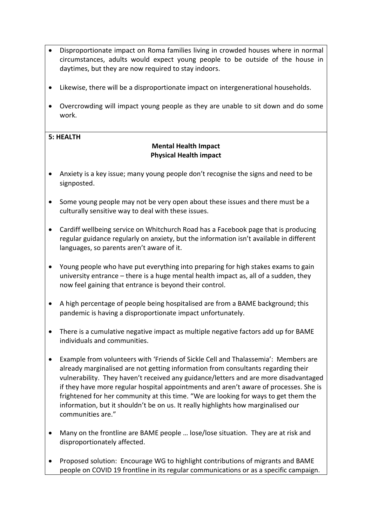- Disproportionate impact on Roma families living in crowded houses where in normal circumstances, adults would expect young people to be outside of the house in daytimes, but they are now required to stay indoors.
- Likewise, there will be a disproportionate impact on intergenerational households.
- Overcrowding will impact young people as they are unable to sit down and do some work.

#### **5: HEALTH**

#### **Mental Health Impact Physical Health impact**

- Anxiety is a key issue; many young people don't recognise the signs and need to be signposted.
- Some young people may not be very open about these issues and there must be a culturally sensitive way to deal with these issues.
- Cardiff wellbeing service on Whitchurch Road has a Facebook page that is producing regular guidance regularly on anxiety, but the information isn't available in different languages, so parents aren't aware of it.
- Young people who have put everything into preparing for high stakes exams to gain university entrance – there is a huge mental health impact as, all of a sudden, they now feel gaining that entrance is beyond their control.
- A high percentage of people being hospitalised are from a BAME background; this pandemic is having a disproportionate impact unfortunately.
- There is a cumulative negative impact as multiple negative factors add up for BAME individuals and communities.
- Example from volunteers with 'Friends of Sickle Cell and Thalassemia': Members are already marginalised are not getting information from consultants regarding their vulnerability. They haven't received any guidance/letters and are more disadvantaged if they have more regular hospital appointments and aren't aware of processes. She is frightened for her community at this time. "We are looking for ways to get them the information, but it shouldn't be on us. It really highlights how marginalised our communities are."
- Many on the frontline are BAME people … lose/lose situation. They are at risk and disproportionately affected.
- Proposed solution: Encourage WG to highlight contributions of migrants and BAME people on COVID 19 frontline in its regular communications or as a specific campaign.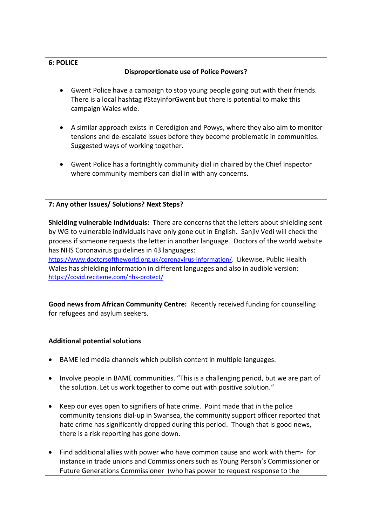## **6: POLICE**

## **Disproportionate use of Police Powers?**

- Gwent Police have a campaign to stop young people going out with their friends. There is a local hashtag #StayinforGwent but there is potential to make this campaign Wales wide.
- A similar approach exists in Ceredigion and Powys, where they also aim to monitor tensions and de-escalate issues before they become problematic in communities. Suggested ways of working together.
- Gwent Police has a fortnightly community dial in chaired by the Chief Inspector where community members can dial in with any concerns.

## **7: Any other Issues/ Solutions? Next Steps?**

**Shielding vulnerable individuals:** There are concerns that the letters about shielding sent by WG to vulnerable individuals have only gone out in English. Sanjiv Vedi will check the process if someone requests the letter in another language. Doctors of the world website has NHS Coronavirus guidelines in 43 languages:

[https://www.doctorsoftheworld.org.uk/coronavirus-information/.](https://www.doctorsoftheworld.org.uk/coronavirus-information/) Likewise, Public Health Wales has shielding information in different languages and also in audible version: <https://covid.reciteme.com/nhs-protect/>

**Good news from African Community Centre:** Recently received funding for counselling for refugees and asylum seekers.

## **Additional potential solutions**

- BAME led media channels which publish content in multiple languages.
- Involve people in BAME communities. "This is a challenging period, but we are part of the solution. Let us work together to come out with positive solution."
- Keep our eyes open to signifiers of hate crime. Point made that in the police community tensions dial-up in Swansea, the community support officer reported that hate crime has significantly dropped during this period. Though that is good news, there is a risk reporting has gone down.
- Find additional allies with power who have common cause and work with them- for instance in trade unions and Commissioners such as Young Person's Commissioner or Future Generations Commissioner (who has power to request response to the